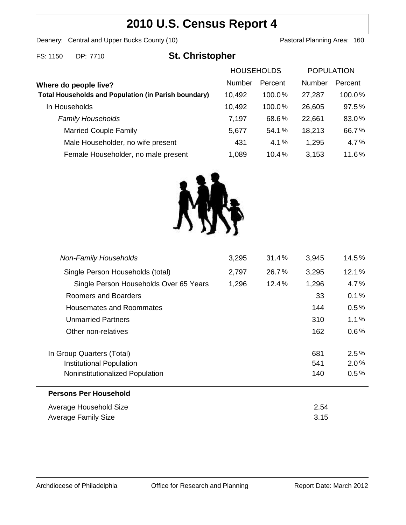# **2010 U.S. Census Report 4**

Deanery: Central and Upper Bucks County (10) Deanery: Central and Upper Bucks County (10)

| FS: 1150<br>DP: 7710 | <b>St. Christopher</b> |
|----------------------|------------------------|
|----------------------|------------------------|

|                                                             | <b>HOUSEHOLDS</b> |         | <b>POPULATION</b> |         |
|-------------------------------------------------------------|-------------------|---------|-------------------|---------|
| Where do people live?                                       | <b>Number</b>     | Percent | Number            | Percent |
| <b>Total Households and Population (in Parish boundary)</b> | 10,492            | 100.0%  | 27,287            | 100.0%  |
| In Households                                               | 10,492            | 100.0%  | 26,605            | 97.5%   |
| <b>Family Households</b>                                    | 7,197             | 68.6%   | 22,661            | 83.0%   |
| <b>Married Couple Family</b>                                | 5,677             | 54.1%   | 18,213            | 66.7%   |
| Male Householder, no wife present                           | 431               | 4.1%    | 1,295             | 4.7%    |
| Female Householder, no male present                         | 1,089             | 10.4%   | 3,153             | 11.6%   |



| <b>Non-Family Households</b>           | 3,295 | 31.4%    | 3,945 | $14.5\%$ |
|----------------------------------------|-------|----------|-------|----------|
| Single Person Households (total)       | 2,797 | 26.7%    | 3,295 | 12.1%    |
| Single Person Households Over 65 Years | 1,296 | $12.4\%$ | 1,296 | 4.7%     |
| Roomers and Boarders                   |       |          | 33    | 0.1%     |
| Housemates and Roommates               |       |          | 144   | 0.5%     |
| <b>Unmarried Partners</b>              |       |          | 310   | $1.1\%$  |
| Other non-relatives                    |       |          | 162   | $0.6\%$  |
|                                        |       |          |       |          |
| In Group Quarters (Total)              |       |          | 681   | 2.5%     |
| Institutional Population               |       |          | 541   | 2.0%     |
| Noninstitutionalized Population        |       |          | 140   | $0.5\%$  |
| <b>Persons Per Household</b>           |       |          |       |          |
| Average Household Size                 |       |          | 2.54  |          |
| Average Family Size                    |       |          | 3.15  |          |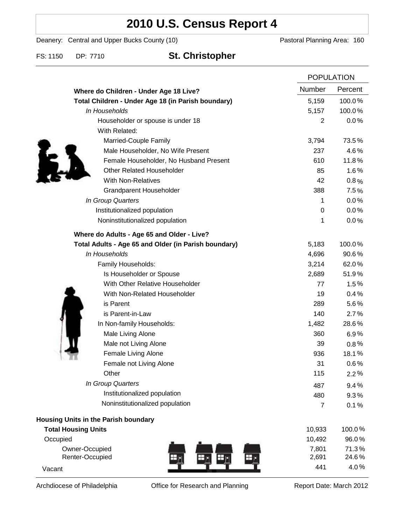## **2010 U.S. Census Report 4**

Deanery: Central and Upper Bucks County (10) Deanery: Central and Upper Bucks County (10)

FS: 1150 DP: 7710 **St. Christopher**

|                                                      |                | <b>POPULATION</b> |  |
|------------------------------------------------------|----------------|-------------------|--|
| Where do Children - Under Age 18 Live?               | Number         | Percent           |  |
| Total Children - Under Age 18 (in Parish boundary)   | 5,159          | 100.0%            |  |
| In Households                                        | 5,157          | 100.0%            |  |
| Householder or spouse is under 18                    | 2              | 0.0%              |  |
| With Related:                                        |                |                   |  |
| Married-Couple Family                                | 3,794          | 73.5%             |  |
| Male Householder, No Wife Present                    | 237            | 4.6%              |  |
| Female Householder, No Husband Present               | 610            | 11.8%             |  |
| <b>Other Related Householder</b>                     | 85             | 1.6%              |  |
| <b>With Non-Relatives</b>                            | 42             | 0.8%              |  |
| <b>Grandparent Householder</b>                       | 388            | 7.5%              |  |
| In Group Quarters                                    | 1              | 0.0%              |  |
| Institutionalized population                         | 0              | 0.0%              |  |
| Noninstitutionalized population                      | 1              | 0.0%              |  |
| Where do Adults - Age 65 and Older - Live?           |                |                   |  |
| Total Adults - Age 65 and Older (in Parish boundary) | 5,183          | 100.0%            |  |
| In Households                                        | 4,696          | 90.6%             |  |
| Family Households:                                   | 3,214          | 62.0%             |  |
| Is Householder or Spouse                             | 2,689          | 51.9%             |  |
| With Other Relative Householder                      | 77             | 1.5%              |  |
| With Non-Related Householder                         | 19             | 0.4%              |  |
| is Parent                                            | 289            | 5.6%              |  |
| is Parent-in-Law                                     | 140            | 2.7%              |  |
| In Non-family Households:                            | 1,482          | 28.6%             |  |
| Male Living Alone                                    | 360            | 6.9%              |  |
| Male not Living Alone                                | 39             | $0.8\%$           |  |
| Female Living Alone                                  | 936            | 18.1%             |  |
| Female not Living Alone                              | 31             | 0.6%              |  |
| Other                                                | 115            | 2.2%              |  |
| In Group Quarters                                    | 487            | 9.4%              |  |
| Institutionalized population                         | 480            | 9.3%              |  |
| Noninstitutionalized population                      | $\overline{7}$ | 0.1%              |  |
| Housing Units in the Parish boundary                 |                |                   |  |
| <b>Total Housing Units</b>                           | 10,933         | 100.0%            |  |
| Occupied                                             | 10,492         | 96.0%             |  |
| Owner-Occupied                                       | 7,801          | 71.3%             |  |
| Renter-Occupied                                      | 2,691          | 24.6%             |  |
| Vacant                                               | 441            | 4.0%              |  |

Archdiocese of Philadelphia **Office for Research and Planning** Report Date: March 2012